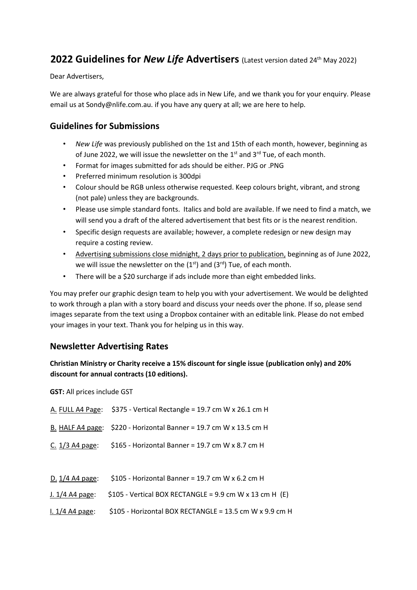# **2022 Guidelines for** *New Life* **Advertisers** (Latest version dated 24<sup>th</sup> May 2022)

Dear Advertisers,

We are always grateful for those who place ads in New Life, and we thank you for your enquiry. Please email us at Sondy@nlife.com.au. if you have any query at all; we are here to help.

### **Guidelines for Submissions**

- *New Life* was previously published on the 1st and 15th of each month, however, beginning as of June 2022, we will issue the newsletter on the  $1<sup>st</sup>$  and  $3<sup>rd</sup>$  Tue, of each month.
- Format for images submitted for ads should be either. PJG or .PNG
- Preferred minimum resolution is 300dpi
- Colour should be RGB unless otherwise requested. Keep colours bright, vibrant, and strong (not pale) unless they are backgrounds.
- Please use simple standard fonts. Italics and bold are available. If we need to find a match, we will send you a draft of the altered advertisement that best fits or is the nearest rendition.
- Specific design requests are available; however, a complete redesign or new design may require a costing review.
- Advertising submissions close midnight, 2 days prior to publication, beginning as of June 2022, we will issue the newsletter on the  $(1<sup>st</sup>)$  and  $(3<sup>rd</sup>)$  Tue, of each month.
- There will be a \$20 surcharge if ads include more than eight embedded links.

You may prefer our graphic design team to help you with your advertisement. We would be delighted to work through a plan with a story board and discuss your needs over the phone. If so, please send images separate from the text using a Dropbox container with an editable link. Please do not embed your images in your text. Thank you for helping us in this way.

# **Newsletter Advertising Rates**

### **Christian Ministry or Charity receive a 15% discount for single issue (publication only) and 20% discount for annual contracts (10 editions).**

**GST:** All prices include GST

|                   | A. FULL A4 Page: $$375$ - Vertical Rectangle = 19.7 cm W x 26.1 cm H |  |  |
|-------------------|----------------------------------------------------------------------|--|--|
|                   | B. HALF A4 page: $$220$ - Horizontal Banner = 19.7 cm W x 13.5 cm H  |  |  |
| $C. 1/3$ A4 page: | \$165 - Horizontal Banner = 19.7 cm W x 8.7 cm H                     |  |  |
|                   |                                                                      |  |  |
| D. $1/4$ A4 page: | \$105 - Horizontal Banner = 19.7 cm W x 6.2 cm H                     |  |  |
| J. 1/4 A4 page:   | $$105$ - Vertical BOX RECTANGLE = 9.9 cm W x 13 cm H (E)             |  |  |
| $1.1/4$ A4 page:  | \$105 - Horizontal BOX RECTANGLE = 13.5 cm W x 9.9 cm H              |  |  |
|                   |                                                                      |  |  |